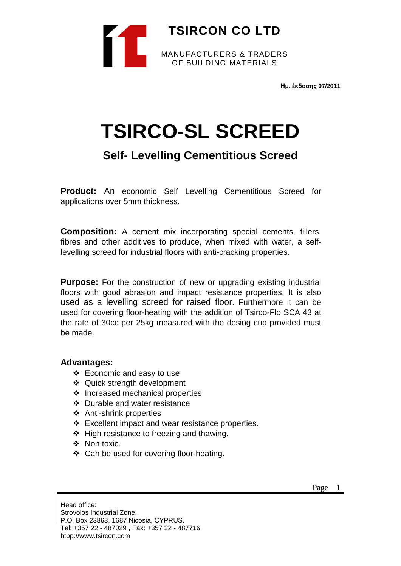

**Ημ. έκδοσης 07/2011**

# **TSIRCO-SL SCREED**

# **Self- Levelling Cementitious Screed**

**Product:** An economic Self Levelling Cementitious Screed for applications over 5mm thickness.

**Composition:** A cement mix incorporating special cements, fillers, fibres and other additives to produce, when mixed with water, a selflevelling screed for industrial floors with anti-cracking properties.

**Purpose:** For the construction of new or upgrading existing industrial floors with good abrasion and impact resistance properties. It is also used as a levelling screed for raised floor. Furthermore it can be used for covering floor-heating with the addition of Tsirco-Flo SCA 43 at the rate of 30cc per 25kg measured with the dosing cup provided must be made.

### **Advantages:**

- $\div$  Economic and easy to use
- Quick strength development
- $\div$  Increased mechanical properties
- Durable and water resistance
- ❖ Anti-shrink properties
- Excellent impact and wear resistance properties.
- $\div$  High resistance to freezing and thawing.
- ❖ Non toxic.
- Can be used for covering floor-heating.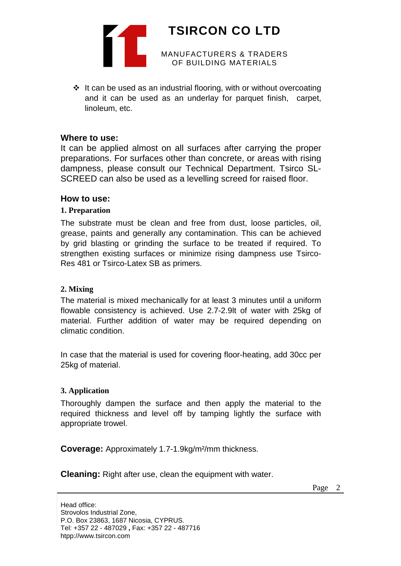

 $\div$  It can be used as an industrial flooring, with or without overcoating and it can be used as an underlay for parquet finish, carpet, linoleum, etc.

#### **Where to use:**

It can be applied almost on all surfaces after carrying the proper preparations. For surfaces other than concrete, or areas with rising dampness, please consult our Technical Department. Tsirco SL-SCREED can also be used as a levelling screed for raised floor.

#### **How to use:**

#### **1. Preparation**

The substrate must be clean and free from dust, loose particles, oil, grease, paints and generally any contamination. This can be achieved by grid blasting or grinding the surface to be treated if required. To strengthen existing surfaces or minimize rising dampness use Tsirco-Res 481 or Tsirco-Latex SB as primers.

#### **2. Mixing**

The material is mixed mechanically for at least 3 minutes until a uniform flowable consistency is achieved. Use 2.7-2.9lt of water with 25kg of material. Further addition of water may be required depending on climatic condition.

In case that the material is used for covering floor-heating, add 30cc per 25kg of material.

#### **3. Application**

Thoroughly dampen the surface and then apply the material to the required thickness and level off by tamping lightly the surface with appropriate trowel.

**Coverage:** Approximately 1.7-1.9kg/m²/mm thickness.

**Cleaning:** Right after use, clean the equipment with water.

Page 2